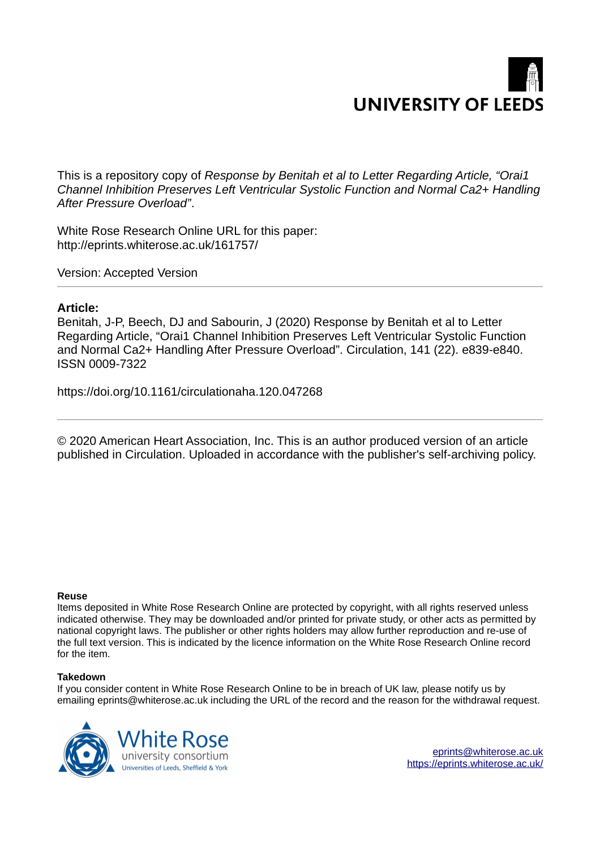# **UNIVERSITY OF LEEDS**

This is a repository copy of *Response by Benitah et al to Letter Regarding Article, "Orai1 Channel Inhibition Preserves Left Ventricular Systolic Function and Normal Ca2+ Handling After Pressure Overload"*.

White Rose Research Online URL for this paper: http://eprints.whiterose.ac.uk/161757/

Version: Accepted Version

# **Article:**

Benitah, J-P, Beech, DJ and Sabourin, J (2020) Response by Benitah et al to Letter Regarding Article, "Orai1 Channel Inhibition Preserves Left Ventricular Systolic Function and Normal Ca2+ Handling After Pressure Overload". Circulation, 141 (22). e839-e840. ISSN 0009-7322

https://doi.org/10.1161/circulationaha.120.047268

© 2020 American Heart Association, Inc. This is an author produced version of an article published in Circulation. Uploaded in accordance with the publisher's self-archiving policy.

### **Reuse**

Items deposited in White Rose Research Online are protected by copyright, with all rights reserved unless indicated otherwise. They may be downloaded and/or printed for private study, or other acts as permitted by national copyright laws. The publisher or other rights holders may allow further reproduction and re-use of the full text version. This is indicated by the licence information on the White Rose Research Online record for the item.

### **Takedown**

If you consider content in White Rose Research Online to be in breach of UK law, please notify us by emailing eprints@whiterose.ac.uk including the URL of the record and the reason for the withdrawal request.



eprints@whiterose.ac.uk https://eprints.whiterose.ac.uk/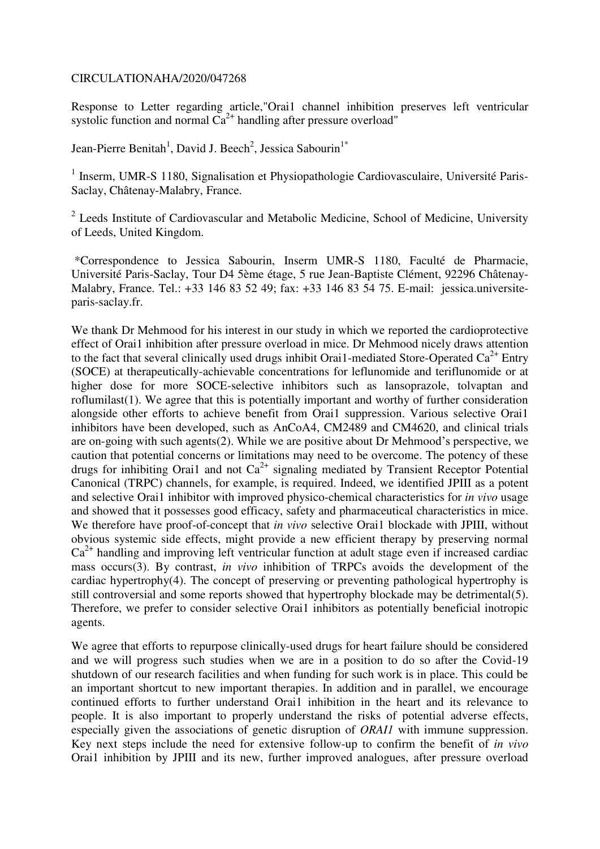## CIRCULATIONAHA/2020/047268

Response to Letter regarding article,"Orai1 channel inhibition preserves left ventricular systolic function and normal  $Ca^{2+}$  handling after pressure overload"

Jean-Pierre Benitah<sup>1</sup>, David J. Beech<sup>2</sup>, Jessica Sabourin<sup>1\*</sup>

<sup>1</sup> Inserm, UMR-S 1180, Signalisation et Physiopathologie Cardiovasculaire, Université Paris-Saclay, Châtenay-Malabry, France.

<sup>2</sup> Leeds Institute of Cardiovascular and Metabolic Medicine, School of Medicine, University of Leeds, United Kingdom.

 \*Correspondence to Jessica Sabourin, Inserm UMR-S 1180, Faculté de Pharmacie, Université Paris-Saclay, Tour D4 5ème étage, 5 rue Jean-Baptiste Clément, 92296 Châtenay-Malabry, France. Tel.: +33 146 83 52 49; fax: +33 146 83 54 75. E-mail: jessica.universiteparis-saclay.fr.

We thank Dr Mehmood for his interest in our study in which we reported the cardioprotective effect of Orai1 inhibition after pressure overload in mice. Dr Mehmood nicely draws attention to the fact that several clinically used drugs inhibit Orai1-mediated Store-Operated  $Ca^{2+}$  Entry (SOCE) at therapeutically-achievable concentrations for leflunomide and teriflunomide or at higher dose for more SOCE-selective inhibitors such as lansoprazole, tolvaptan and roflumilast(1). We agree that this is potentially important and worthy of further consideration alongside other efforts to achieve benefit from Orai1 suppression. Various selective Orai1 inhibitors have been developed, such as AnCoA4, CM2489 and CM4620, and clinical trials are on-going with such agents(2). While we are positive about Dr Mehmood's perspective, we caution that potential concerns or limitations may need to be overcome. The potency of these drugs for inhibiting Orai1 and not  $Ca^{2+}$  signaling mediated by Transient Receptor Potential Canonical (TRPC) channels, for example, is required. Indeed, we identified JPIII as a potent and selective Orai1 inhibitor with improved physico-chemical characteristics for *in vivo* usage and showed that it possesses good efficacy, safety and pharmaceutical characteristics in mice. We therefore have proof-of-concept that *in vivo* selective Orai1 blockade with JPIII, without obvious systemic side effects, might provide a new efficient therapy by preserving normal  $Ca<sup>2+</sup>$  handling and improving left ventricular function at adult stage even if increased cardiac mass occurs(3). By contrast, *in vivo* inhibition of TRPCs avoids the development of the cardiac hypertrophy(4). The concept of preserving or preventing pathological hypertrophy is still controversial and some reports showed that hypertrophy blockade may be detrimental(5). Therefore, we prefer to consider selective Orai1 inhibitors as potentially beneficial inotropic agents.

We agree that efforts to repurpose clinically-used drugs for heart failure should be considered and we will progress such studies when we are in a position to do so after the Covid-19 shutdown of our research facilities and when funding for such work is in place. This could be an important shortcut to new important therapies. In addition and in parallel, we encourage continued efforts to further understand Orai1 inhibition in the heart and its relevance to people. It is also important to properly understand the risks of potential adverse effects, especially given the associations of genetic disruption of *ORAI1* with immune suppression. Key next steps include the need for extensive follow-up to confirm the benefit of *in vivo* Orai1 inhibition by JPIII and its new, further improved analogues, after pressure overload